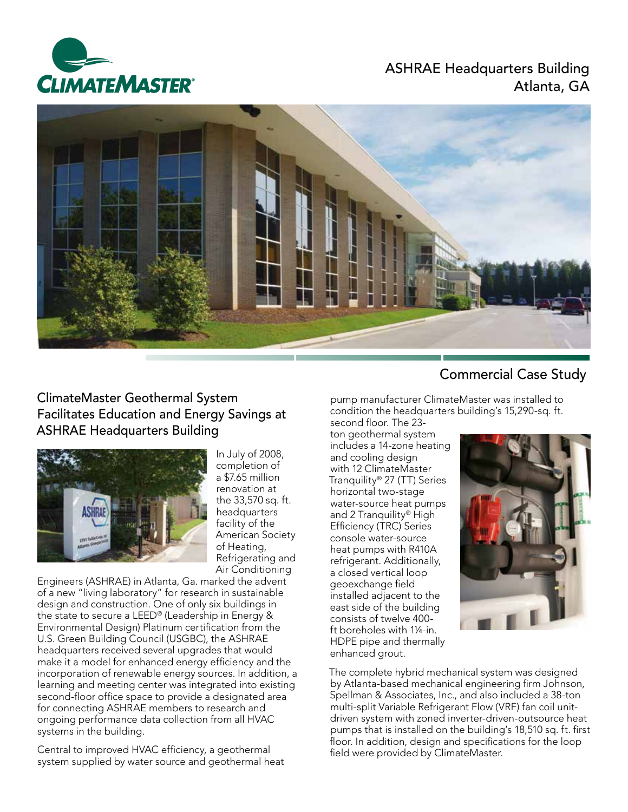

### ASHRAE Headquarters Building Atlanta, GA



# ClimateMaster Geothermal System Facilitates Education and Energy Savings at ASHRAE Headquarters Building



In July of 2008, completion of a \$7.65 million renovation at the 33,570 sq. ft. headquarters facility of the American Society of Heating, Refrigerating and Air Conditioning

Engineers (ASHRAE) in Atlanta, Ga. marked the advent of a new "living laboratory" for research in sustainable design and construction. One of only six buildings in the state to secure a LEED® (Leadership in Energy & Environmental Design) Platinum certification from the U.S. Green Building Council (USGBC), the ASHRAE headquarters received several upgrades that would make it a model for enhanced energy efficiency and the incorporation of renewable energy sources. In addition, a learning and meeting center was integrated into existing second-floor office space to provide a designated area for connecting ASHRAE members to research and ongoing performance data collection from all HVAC systems in the building.

Central to improved HVAC efficiency, a geothermal system supplied by water source and geothermal heat

# Commercial Case Study

pump manufacturer ClimateMaster was installed to condition the headquarters building's 15,290-sq. ft. second floor. The 23-

ton geothermal system includes a 14-zone heating and cooling design with 12 ClimateMaster Tranquility® 27 (TT) Series horizontal two-stage water-source heat pumps and 2 Tranquility® High Efficiency (TRC) Series console water-source heat pumps with R410A refrigerant. Additionally, a closed vertical loop geoexchange field installed adjacent to the east side of the building consists of twelve 400 ft boreholes with 1¼-in. HDPE pipe and thermally enhanced grout.



The complete hybrid mechanical system was designed by Atlanta-based mechanical engineering firm Johnson, Spellman & Associates, Inc., and also included a 38-ton multi-split Variable Refrigerant Flow (VRF) fan coil unitdriven system with zoned inverter-driven-outsource heat pumps that is installed on the building's 18,510 sq. ft. first floor. In addition, design and specifications for the loop field were provided by ClimateMaster.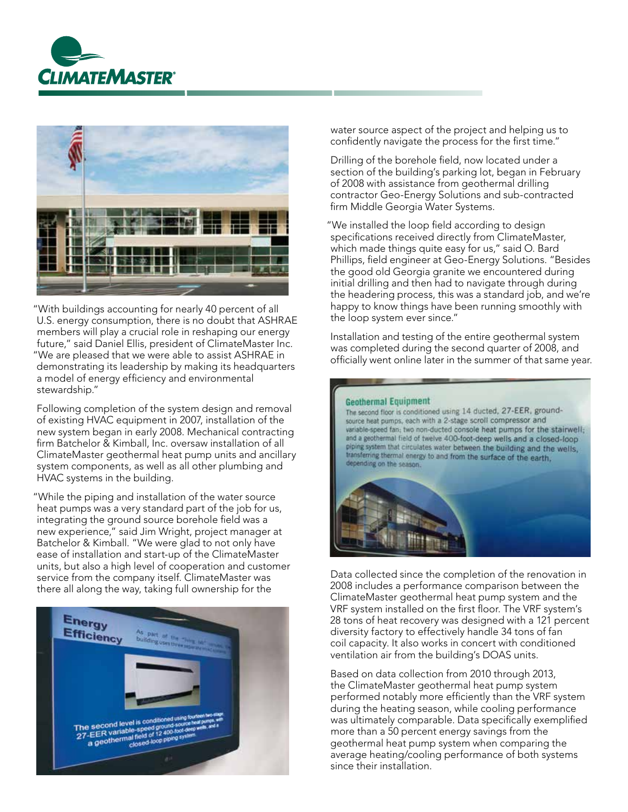



"With buildings accounting for nearly 40 percent of all U.S. energy consumption, there is no doubt that ASHRAE members will play a crucial role in reshaping our energy future," said Daniel Ellis, president of ClimateMaster Inc. "We are pleased that we were able to assist ASHRAE in demonstrating its leadership by making its headquarters a model of energy efficiency and environmental stewardship."

Following completion of the system design and removal of existing HVAC equipment in 2007, installation of the new system began in early 2008. Mechanical contracting firm Batchelor & Kimball, Inc. oversaw installation of all ClimateMaster geothermal heat pump units and ancillary system components, as well as all other plumbing and HVAC systems in the building.

"While the piping and installation of the water source heat pumps was a very standard part of the job for us, integrating the ground source borehole field was a new experience," said Jim Wright, project manager at Batchelor & Kimball. "We were glad to not only have ease of installation and start-up of the ClimateMaster units, but also a high level of cooperation and customer service from the company itself. ClimateMaster was there all along the way, taking full ownership for the



water source aspect of the project and helping us to confidently navigate the process for the first time."

Drilling of the borehole field, now located under a section of the building's parking lot, began in February of 2008 with assistance from geothermal drilling contractor Geo-Energy Solutions and sub-contracted firm Middle Georgia Water Systems.

"We installed the loop field according to design specifications received directly from ClimateMaster, which made things quite easy for us," said O. Bard Phillips, field engineer at Geo-Energy Solutions. "Besides the good old Georgia granite we encountered during initial drilling and then had to navigate through during the headering process, this was a standard job, and we're happy to know things have been running smoothly with the loop system ever since."

Installation and testing of the entire geothermal system was completed during the second quarter of 2008, and officially went online later in the summer of that same year.

#### **Geothermal Equipment**

The second floor is conditioned using 14 ducted, 27-EER, groundsource heat pumps, each with a 2-stage scroll compressor and variable-speed fan: two non-ducted console heat pumps for the stairwell; and a geothermal field of twelve 400-foot-deep wells and a closed-loop piping system that circulates water between the building and the wells, transferring thermal energy to and from the surface of the earth, depending on the season.



Data collected since the completion of the renovation in 2008 includes a performance comparison between the ClimateMaster geothermal heat pump system and the VRF system installed on the first floor. The VRF system's 28 tons of heat recovery was designed with a 121 percent diversity factory to effectively handle 34 tons of fan coil capacity. It also works in concert with conditioned ventilation air from the building's DOAS units.

Based on data collection from 2010 through 2013, the ClimateMaster geothermal heat pump system performed notably more efficiently than the VRF system during the heating season, while cooling performance was ultimately comparable. Data specifically exemplified more than a 50 percent energy savings from the geothermal heat pump system when comparing the average heating/cooling performance of both systems since their installation.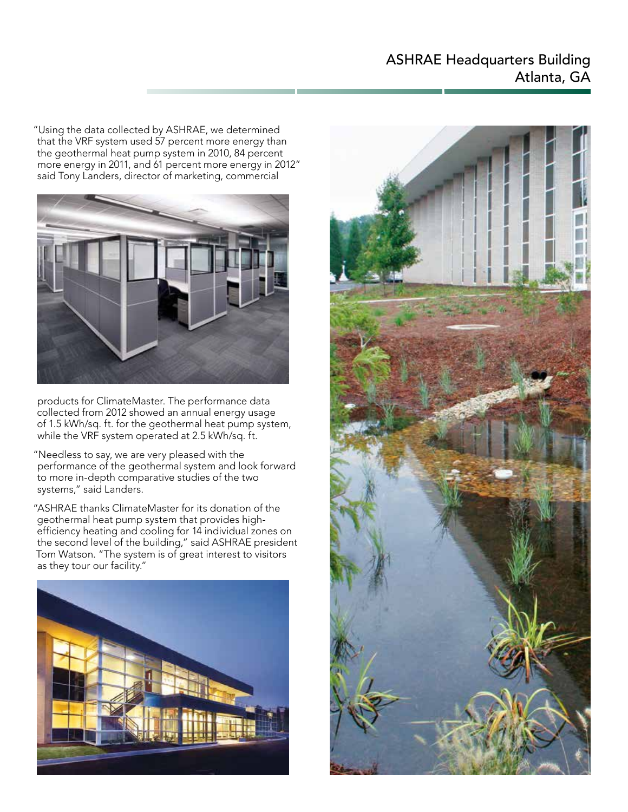# ASHRAE Headquarters Building Atlanta, GA

"Using the data collected by ASHRAE, we determined that the VRF system used 57 percent more energy than the geothermal heat pump system in 2010, 84 percent more energy in 2011, and 61 percent more energy in 2012" said Tony Landers, director of marketing, commercial



products for ClimateMaster. The performance data collected from 2012 showed an annual energy usage of 1.5 kWh/sq. ft. for the geothermal heat pump system, while the VRF system operated at 2.5 kWh/sq. ft.

"Needless to say, we are very pleased with the performance of the geothermal system and look forward to more in-depth comparative studies of the two systems," said Landers.

"ASHRAE thanks ClimateMaster for its donation of the geothermal heat pump system that provides highefficiency heating and cooling for 14 individual zones on the second level of the building," said ASHRAE president Tom Watson. "The system is of great interest to visitors as they tour our facility."